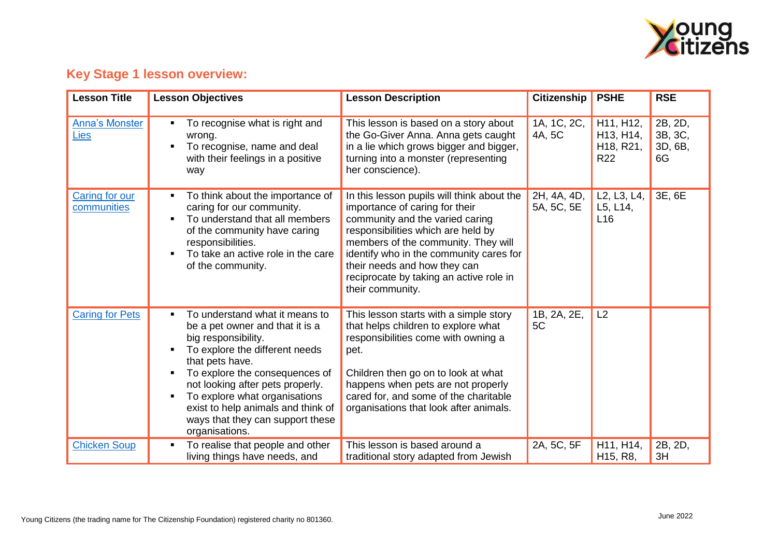

## **Key Stage 1 lesson overview:**

| <b>Lesson Title</b>           | <b>Lesson Objectives</b>                                                                                                                                                                                                                                                                                                                                             | <b>Lesson Description</b>                                                                                                                                                                                                                                                                                                              | <b>Citizenship</b>        | <b>PSHE</b>                                                                                           | <b>RSE</b>                          |
|-------------------------------|----------------------------------------------------------------------------------------------------------------------------------------------------------------------------------------------------------------------------------------------------------------------------------------------------------------------------------------------------------------------|----------------------------------------------------------------------------------------------------------------------------------------------------------------------------------------------------------------------------------------------------------------------------------------------------------------------------------------|---------------------------|-------------------------------------------------------------------------------------------------------|-------------------------------------|
| <b>Anna's Monster</b><br>Lies | To recognise what is right and<br>٠<br>wrong.<br>To recognise, name and deal<br>with their feelings in a positive<br>way                                                                                                                                                                                                                                             | This lesson is based on a story about<br>the Go-Giver Anna. Anna gets caught<br>in a lie which grows bigger and bigger,<br>turning into a monster (representing<br>her conscience).                                                                                                                                                    | 1A, 1C, 2C,<br>4A, 5C     | H11, H12,<br>H <sub>13</sub> , H <sub>14</sub> ,<br>H <sub>18</sub> , R <sub>21</sub> ,<br><b>R22</b> | 2B, 2D,<br>3B, 3C,<br>3D, 6B,<br>6G |
| Caring for our<br>communities | To think about the importance of<br>٠<br>caring for our community.<br>To understand that all members<br>٠<br>of the community have caring<br>responsibilities.<br>To take an active role in the care<br>$\blacksquare$<br>of the community.                                                                                                                          | In this lesson pupils will think about the<br>importance of caring for their<br>community and the varied caring<br>responsibilities which are held by<br>members of the community. They will<br>identify who in the community cares for<br>their needs and how they can<br>reciprocate by taking an active role in<br>their community. | 2H, 4A, 4D,<br>5A, 5C, 5E | L2, L3, L4,<br>L5, L14,<br>L <sub>16</sub>                                                            | 3E, 6E                              |
| <b>Caring for Pets</b>        | To understand what it means to<br>٠<br>be a pet owner and that it is a<br>big responsibility.<br>To explore the different needs<br>٠<br>that pets have.<br>To explore the consequences of<br>٠<br>not looking after pets properly.<br>To explore what organisations<br>٠<br>exist to help animals and think of<br>ways that they can support these<br>organisations. | This lesson starts with a simple story<br>that helps children to explore what<br>responsibilities come with owning a<br>pet.<br>Children then go on to look at what<br>happens when pets are not properly<br>cared for, and some of the charitable<br>organisations that look after animals.                                           | 1B, 2A, 2E,<br>5C         | L2                                                                                                    |                                     |
| <b>Chicken Soup</b>           | To realise that people and other<br>٠<br>living things have needs, and                                                                                                                                                                                                                                                                                               | This lesson is based around a<br>traditional story adapted from Jewish                                                                                                                                                                                                                                                                 | 2A, 5C, 5F                | H11, H14,<br>H <sub>15</sub> , R <sub>8</sub> ,                                                       | 2B, 2D,<br>3H                       |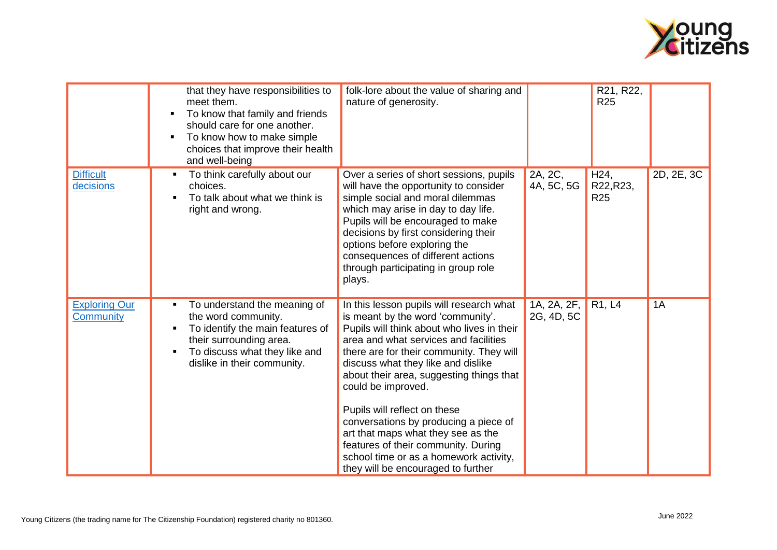

|                                          | that they have responsibilities to<br>meet them.<br>To know that family and friends<br>٠<br>should care for one another.<br>To know how to make simple<br>٠<br>choices that improve their health<br>and well-being          | folk-lore about the value of sharing and<br>nature of generosity.                                                                                                                                                                                                                                                                                                                                                                                                                                                                                              |                           | R21, R22,<br><b>R25</b>                      |            |
|------------------------------------------|-----------------------------------------------------------------------------------------------------------------------------------------------------------------------------------------------------------------------------|----------------------------------------------------------------------------------------------------------------------------------------------------------------------------------------------------------------------------------------------------------------------------------------------------------------------------------------------------------------------------------------------------------------------------------------------------------------------------------------------------------------------------------------------------------------|---------------------------|----------------------------------------------|------------|
| <b>Difficult</b><br>decisions            | To think carefully about our<br>п<br>choices.<br>To talk about what we think is<br>в<br>right and wrong.                                                                                                                    | Over a series of short sessions, pupils<br>will have the opportunity to consider<br>simple social and moral dilemmas<br>which may arise in day to day life.<br>Pupils will be encouraged to make<br>decisions by first considering their<br>options before exploring the<br>consequences of different actions<br>through participating in group role<br>plays.                                                                                                                                                                                                 | 2A, 2C,<br>4A, 5C, 5G     | H <sub>24</sub> ,<br>R22, R23,<br><b>R25</b> | 2D, 2E, 3C |
| <b>Exploring Our</b><br><b>Community</b> | To understand the meaning of<br>$\blacksquare$<br>the word community.<br>To identify the main features of<br>Б<br>their surrounding area.<br>To discuss what they like and<br>$\blacksquare$<br>dislike in their community. | In this lesson pupils will research what<br>is meant by the word 'community'.<br>Pupils will think about who lives in their<br>area and what services and facilities<br>there are for their community. They will<br>discuss what they like and dislike<br>about their area, suggesting things that<br>could be improved.<br>Pupils will reflect on these<br>conversations by producing a piece of<br>art that maps what they see as the<br>features of their community. During<br>school time or as a homework activity,<br>they will be encouraged to further | 1A, 2A, 2F,<br>2G, 4D, 5C | R1, L4                                       | 1A         |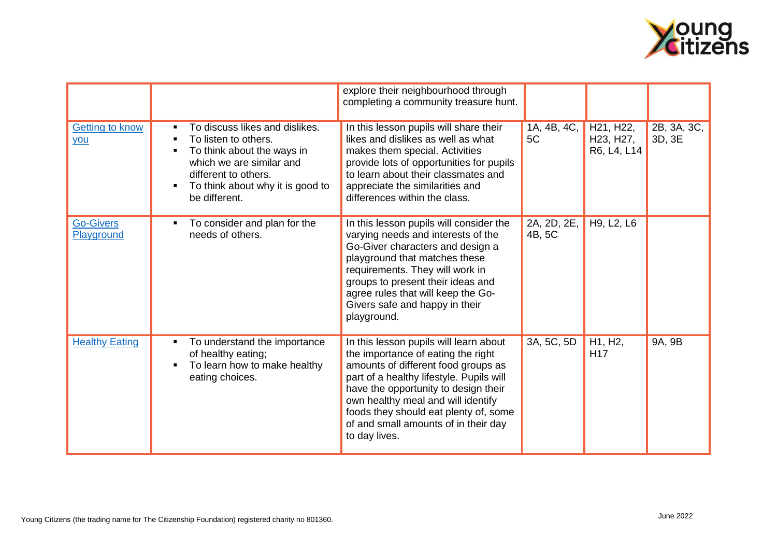

|                                |                                                                                                                                                                                                         | explore their neighbourhood through<br>completing a community treasure hunt.                                                                                                                                                                                                                                                                    |                       |                                                                                           |                       |
|--------------------------------|---------------------------------------------------------------------------------------------------------------------------------------------------------------------------------------------------------|-------------------------------------------------------------------------------------------------------------------------------------------------------------------------------------------------------------------------------------------------------------------------------------------------------------------------------------------------|-----------------------|-------------------------------------------------------------------------------------------|-----------------------|
| <b>Getting to know</b><br>you  | To discuss likes and dislikes.<br>п<br>To listen to others.<br>п<br>To think about the ways in<br>which we are similar and<br>different to others.<br>To think about why it is good to<br>be different. | In this lesson pupils will share their<br>likes and dislikes as well as what<br>makes them special. Activities<br>provide lots of opportunities for pupils<br>to learn about their classmates and<br>appreciate the similarities and<br>differences within the class.                                                                           | 1A, 4B, 4C,<br>5C     | H <sub>21</sub> , H <sub>22</sub> ,<br>H <sub>23</sub> , H <sub>27</sub> ,<br>R6, L4, L14 | 2B, 3A, 3C,<br>3D, 3E |
| <b>Go-Givers</b><br>Playground | To consider and plan for the<br>п<br>needs of others.                                                                                                                                                   | In this lesson pupils will consider the<br>varying needs and interests of the<br>Go-Giver characters and design a<br>playground that matches these<br>requirements. They will work in<br>groups to present their ideas and<br>agree rules that will keep the Go-<br>Givers safe and happy in their<br>playground.                               | 2A, 2D, 2E,<br>4B, 5C | H9, L2, L6                                                                                |                       |
| <b>Healthy Eating</b>          | To understand the importance<br>of healthy eating;<br>To learn how to make healthy<br>eating choices.                                                                                                   | In this lesson pupils will learn about<br>the importance of eating the right<br>amounts of different food groups as<br>part of a healthy lifestyle. Pupils will<br>have the opportunity to design their<br>own healthy meal and will identify<br>foods they should eat plenty of, some<br>of and small amounts of in their day<br>to day lives. | 3A, 5C, 5D            | H1, H2,<br>H <sub>17</sub>                                                                | 9A, 9B                |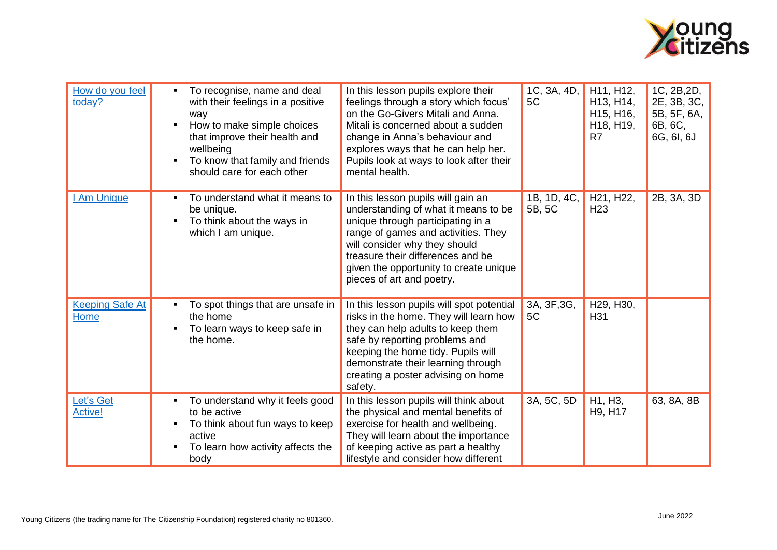

| How do you feel<br>today?      | To recognise, name and deal<br>٠<br>with their feelings in a positive<br>way<br>How to make simple choices<br>$\blacksquare$<br>that improve their health and<br>wellbeing<br>To know that family and friends<br>٠<br>should care for each other | In this lesson pupils explore their<br>feelings through a story which focus'<br>on the Go-Givers Mitali and Anna.<br>Mitali is concerned about a sudden<br>change in Anna's behaviour and<br>explores ways that he can help her.<br>Pupils look at ways to look after their<br>mental health.       | 1C, 3A, 4D,<br>5C     | H11, H12,<br>H13, H14,<br>H <sub>15</sub> , H <sub>16</sub> ,<br>H <sub>18</sub> , H <sub>19</sub> ,<br>R <sub>7</sub> | 1C, 2B, 2D,<br>2E, 3B, 3C,<br>5B, 5F, 6A,<br>6B, 6C,<br>6G, 6I, 6J |
|--------------------------------|--------------------------------------------------------------------------------------------------------------------------------------------------------------------------------------------------------------------------------------------------|-----------------------------------------------------------------------------------------------------------------------------------------------------------------------------------------------------------------------------------------------------------------------------------------------------|-----------------------|------------------------------------------------------------------------------------------------------------------------|--------------------------------------------------------------------|
| I Am Unique                    | To understand what it means to<br>٠<br>be unique.<br>To think about the ways in<br>$\blacksquare$<br>which I am unique.                                                                                                                          | In this lesson pupils will gain an<br>understanding of what it means to be<br>unique through participating in a<br>range of games and activities. They<br>will consider why they should<br>treasure their differences and be<br>given the opportunity to create unique<br>pieces of art and poetry. | 1B, 1D, 4C,<br>5B, 5C | H21, H22,<br>H <sub>23</sub>                                                                                           | 2B, 3A, 3D                                                         |
| <b>Keeping Safe At</b><br>Home | To spot things that are unsafe in<br>٠<br>the home<br>To learn ways to keep safe in<br>the home.                                                                                                                                                 | In this lesson pupils will spot potential<br>risks in the home. They will learn how<br>they can help adults to keep them<br>safe by reporting problems and<br>keeping the home tidy. Pupils will<br>demonstrate their learning through<br>creating a poster advising on home<br>safety.             | 3A, 3F, 3G,<br>5C     | H29, H30,<br>H31                                                                                                       |                                                                    |
| Let's Get<br><b>Active!</b>    | To understand why it feels good<br>٠<br>to be active<br>To think about fun ways to keep<br>٠<br>active<br>To learn how activity affects the<br>$\blacksquare$<br>body                                                                            | In this lesson pupils will think about<br>the physical and mental benefits of<br>exercise for health and wellbeing.<br>They will learn about the importance<br>of keeping active as part a healthy<br>lifestyle and consider how different                                                          | 3A, 5C, 5D            | H1, H3,<br>H <sub>9</sub> , H <sub>17</sub>                                                                            | 63, 8A, 8B                                                         |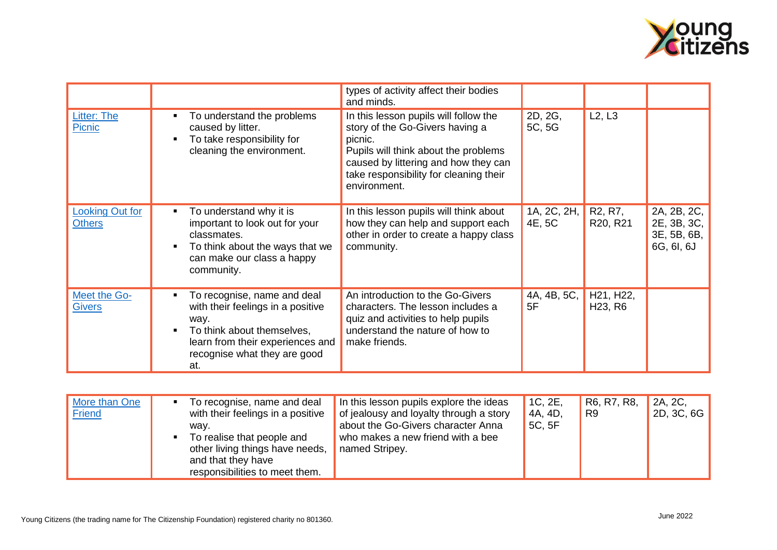

|                                         |                                                                                                                                                                                                          | types of activity affect their bodies<br>and minds.                                                                                                                                                                           |                       |                                               |                                                         |
|-----------------------------------------|----------------------------------------------------------------------------------------------------------------------------------------------------------------------------------------------------------|-------------------------------------------------------------------------------------------------------------------------------------------------------------------------------------------------------------------------------|-----------------------|-----------------------------------------------|---------------------------------------------------------|
| <b>Litter: The</b><br>Picnic            | To understand the problems<br>$\blacksquare$<br>caused by litter.<br>To take responsibility for<br>cleaning the environment.                                                                             | In this lesson pupils will follow the<br>story of the Go-Givers having a<br>picnic.<br>Pupils will think about the problems<br>caused by littering and how they can<br>take responsibility for cleaning their<br>environment. | 2D, 2G,<br>5C, 5G     | L2, L3                                        |                                                         |
| <b>Looking Out for</b><br><b>Others</b> | To understand why it is<br>$\blacksquare$<br>important to look out for your<br>classmates.<br>To think about the ways that we<br>п<br>can make our class a happy<br>community.                           | In this lesson pupils will think about<br>how they can help and support each<br>other in order to create a happy class<br>community.                                                                                          | 1A, 2C, 2H,<br>4E, 5C | R <sub>2</sub> , R <sub>7</sub> ,<br>R20, R21 | 2A, 2B, 2C,<br>2E, 3B, 3C,<br>3E, 5B, 6B,<br>6G, 6I, 6J |
| Meet the Go-<br><b>Givers</b>           | To recognise, name and deal<br>п<br>with their feelings in a positive<br>way.<br>To think about themselves,<br>$\blacksquare$<br>learn from their experiences and<br>recognise what they are good<br>at. | An introduction to the Go-Givers<br>characters. The lesson includes a<br>quiz and activities to help pupils<br>understand the nature of how to<br>make friends.                                                               | 4A, 4B, 5C,<br>5F     | H21, H22,<br>H <sub>23</sub> , R <sub>6</sub> |                                                         |

| More than One<br>To recognise, name and deal<br><b>Friend</b><br>with their feelings in a positive<br>wav.<br>To realise that people and<br>other living things have needs,<br>and that they have<br>responsibilities to meet them. | In this lesson pupils explore the ideas<br>of jealousy and loyalty through a story<br>about the Go-Givers character Anna<br>who makes a new friend with a bee<br>named Stripey. | 1C, 2E,<br>4A, 4D,<br>5C, 5F | R <sub>6</sub> , R <sub>7</sub> , R <sub>8</sub> ,<br>R9 | 2A, 2C,<br>2D, 3C, 6G |
|-------------------------------------------------------------------------------------------------------------------------------------------------------------------------------------------------------------------------------------|---------------------------------------------------------------------------------------------------------------------------------------------------------------------------------|------------------------------|----------------------------------------------------------|-----------------------|
|-------------------------------------------------------------------------------------------------------------------------------------------------------------------------------------------------------------------------------------|---------------------------------------------------------------------------------------------------------------------------------------------------------------------------------|------------------------------|----------------------------------------------------------|-----------------------|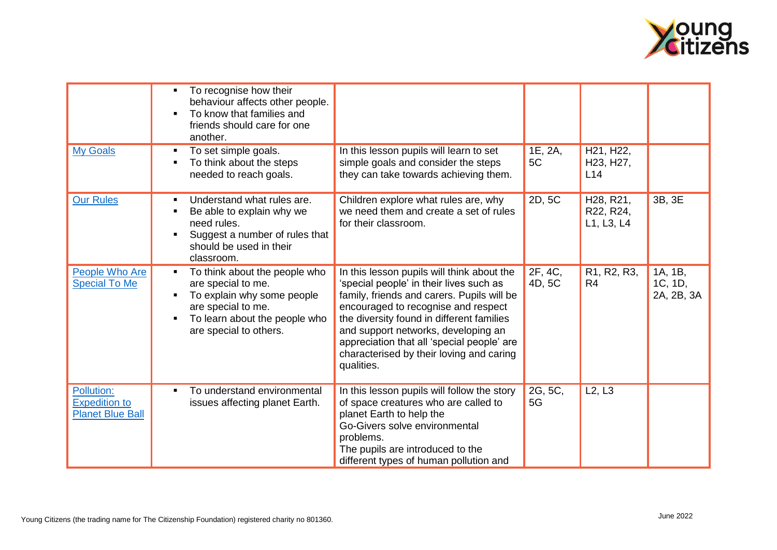

|                                                               | To recognise how their<br>behaviour affects other people.<br>To know that families and<br>friends should care for one<br>another.                                       |                                                                                                                                                                                                                                                                                                                                                                        |                   |                                                                      |                                  |
|---------------------------------------------------------------|-------------------------------------------------------------------------------------------------------------------------------------------------------------------------|------------------------------------------------------------------------------------------------------------------------------------------------------------------------------------------------------------------------------------------------------------------------------------------------------------------------------------------------------------------------|-------------------|----------------------------------------------------------------------|----------------------------------|
| <b>My Goals</b>                                               | To set simple goals.<br>To think about the steps<br>needed to reach goals.                                                                                              | In this lesson pupils will learn to set<br>simple goals and consider the steps<br>they can take towards achieving them.                                                                                                                                                                                                                                                | 1E, 2A,<br>5C     | H21, H22,<br>H23, H27,<br>L14                                        |                                  |
| <b>Our Rules</b>                                              | Understand what rules are.<br>Be able to explain why we<br>need rules.<br>Suggest a number of rules that<br>should be used in their<br>classroom.                       | Children explore what rules are, why<br>we need them and create a set of rules<br>for their classroom.                                                                                                                                                                                                                                                                 | 2D, 5C            | H <sub>28</sub> , R <sub>21</sub> ,<br>R22, R24,<br>L1, L3, L4       | 3B, 3E                           |
| People Who Are<br><b>Special To Me</b>                        | To think about the people who<br>٠<br>are special to me.<br>To explain why some people<br>are special to me.<br>To learn about the people who<br>are special to others. | In this lesson pupils will think about the<br>'special people' in their lives such as<br>family, friends and carers. Pupils will be<br>encouraged to recognise and respect<br>the diversity found in different families<br>and support networks, developing an<br>appreciation that all 'special people' are<br>characterised by their loving and caring<br>qualities. | 2F, 4C,<br>4D, 5C | R <sub>1</sub> , R <sub>2</sub> , R <sub>3</sub> ,<br>R <sub>4</sub> | 1A, 1B,<br>1C, 1D,<br>2A, 2B, 3A |
| Pollution:<br><b>Expedition to</b><br><b>Planet Blue Ball</b> | To understand environmental<br>issues affecting planet Earth.                                                                                                           | In this lesson pupils will follow the story<br>of space creatures who are called to<br>planet Earth to help the<br>Go-Givers solve environmental<br>problems.<br>The pupils are introduced to the<br>different types of human pollution and                                                                                                                            | 2G, 5C,<br>5G     | L2, L3                                                               |                                  |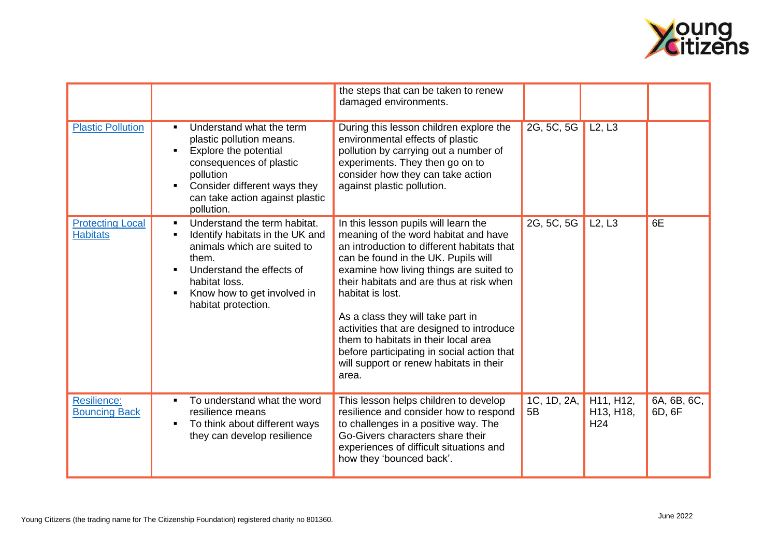

|                                            |                                                                                                                                                                                                                                                              | the steps that can be taken to renew<br>damaged environments.                                                                                                                                                                                                                                                                                                                                                                                                                                            |                   |                                                                     |                       |
|--------------------------------------------|--------------------------------------------------------------------------------------------------------------------------------------------------------------------------------------------------------------------------------------------------------------|----------------------------------------------------------------------------------------------------------------------------------------------------------------------------------------------------------------------------------------------------------------------------------------------------------------------------------------------------------------------------------------------------------------------------------------------------------------------------------------------------------|-------------------|---------------------------------------------------------------------|-----------------------|
| <b>Plastic Pollution</b>                   | Understand what the term<br>$\blacksquare$<br>plastic pollution means.<br>Explore the potential<br>$\blacksquare$<br>consequences of plastic<br>pollution<br>Consider different ways they<br>$\blacksquare$<br>can take action against plastic<br>pollution. | During this lesson children explore the<br>environmental effects of plastic<br>pollution by carrying out a number of<br>experiments. They then go on to<br>consider how they can take action<br>against plastic pollution.                                                                                                                                                                                                                                                                               | 2G, 5C, 5G        | L2, L3                                                              |                       |
| <b>Protecting Local</b><br><b>Habitats</b> | Understand the term habitat.<br>$\blacksquare$<br>Identify habitats in the UK and<br>п<br>animals which are suited to<br>them.<br>Understand the effects of<br>habitat loss.<br>Know how to get involved in<br>$\blacksquare$<br>habitat protection.         | In this lesson pupils will learn the<br>meaning of the word habitat and have<br>an introduction to different habitats that<br>can be found in the UK. Pupils will<br>examine how living things are suited to<br>their habitats and are thus at risk when<br>habitat is lost.<br>As a class they will take part in<br>activities that are designed to introduce<br>them to habitats in their local area<br>before participating in social action that<br>will support or renew habitats in their<br>area. | 2G, 5C, 5G        | L2, L3                                                              | 6E                    |
| Resilience:<br><b>Bouncing Back</b>        | To understand what the word<br>resilience means<br>To think about different ways<br>$\blacksquare$<br>they can develop resilience                                                                                                                            | This lesson helps children to develop<br>resilience and consider how to respond<br>to challenges in a positive way. The<br>Go-Givers characters share their<br>experiences of difficult situations and<br>how they 'bounced back'.                                                                                                                                                                                                                                                                       | 1C, 1D, 2A,<br>5B | H11, H12,<br>H <sub>13</sub> , H <sub>18</sub> ,<br>H <sub>24</sub> | 6A, 6B, 6C,<br>6D, 6F |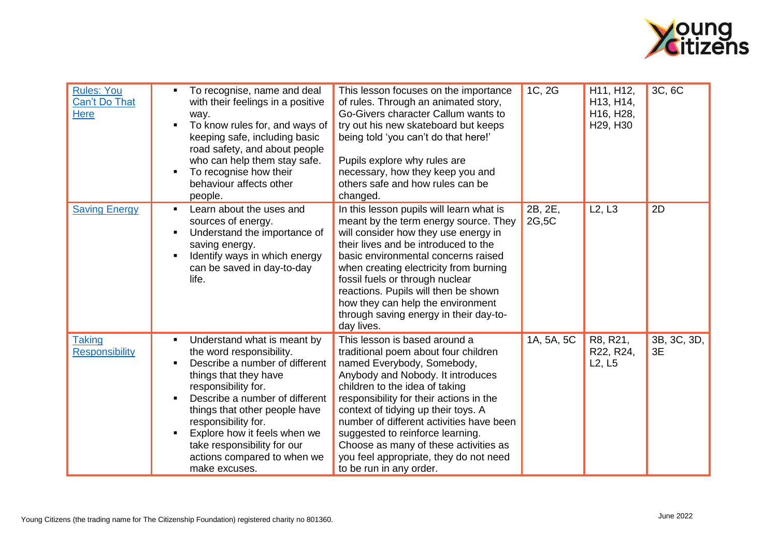

| <b>Rules: You</b><br><b>Can't Do That</b><br><b>Here</b> | To recognise, name and deal<br>with their feelings in a positive<br>way.<br>To know rules for, and ways of<br>$\blacksquare$<br>keeping safe, including basic<br>road safety, and about people<br>who can help them stay safe.<br>To recognise how their<br>$\blacksquare$<br>behaviour affects other<br>people.                                                                                         | This lesson focuses on the importance<br>of rules. Through an animated story,<br>Go-Givers character Callum wants to<br>try out his new skateboard but keeps<br>being told 'you can't do that here!'<br>Pupils explore why rules are<br>necessary, how they keep you and<br>others safe and how rules can be<br>changed.                                                                                                                                   | 1C, 2G           | H11, H12,<br>H <sub>13</sub> , H <sub>14</sub> ,<br>H16, H28,<br>H <sub>29</sub> , H <sub>30</sub> | 3C, 6C            |
|----------------------------------------------------------|----------------------------------------------------------------------------------------------------------------------------------------------------------------------------------------------------------------------------------------------------------------------------------------------------------------------------------------------------------------------------------------------------------|------------------------------------------------------------------------------------------------------------------------------------------------------------------------------------------------------------------------------------------------------------------------------------------------------------------------------------------------------------------------------------------------------------------------------------------------------------|------------------|----------------------------------------------------------------------------------------------------|-------------------|
| <b>Saving Energy</b>                                     | Learn about the uses and<br>$\blacksquare$<br>sources of energy.<br>Understand the importance of<br>п<br>saving energy.<br>Identify ways in which energy<br>$\blacksquare$<br>can be saved in day-to-day<br>life.                                                                                                                                                                                        | In this lesson pupils will learn what is<br>meant by the term energy source. They<br>will consider how they use energy in<br>their lives and be introduced to the<br>basic environmental concerns raised<br>when creating electricity from burning<br>fossil fuels or through nuclear<br>reactions. Pupils will then be shown<br>how they can help the environment<br>through saving energy in their day-to-<br>day lives.                                 | 2B, 2E,<br>2G,5C | L2, L3                                                                                             | 2D                |
| Taking<br><b>Responsibility</b>                          | Understand what is meant by<br>$\blacksquare$<br>the word responsibility.<br>Describe a number of different<br>$\blacksquare$<br>things that they have<br>responsibility for.<br>Describe a number of different<br>things that other people have<br>responsibility for.<br>Explore how it feels when we<br>$\blacksquare$<br>take responsibility for our<br>actions compared to when we<br>make excuses. | This lesson is based around a<br>traditional poem about four children<br>named Everybody, Somebody,<br>Anybody and Nobody. It introduces<br>children to the idea of taking<br>responsibility for their actions in the<br>context of tidying up their toys. A<br>number of different activities have been<br>suggested to reinforce learning.<br>Choose as many of these activities as<br>you feel appropriate, they do not need<br>to be run in any order. | 1A, 5A, 5C       | R8, R21,<br>R22, R24,<br>L2, L5                                                                    | 3B, 3C, 3D,<br>3E |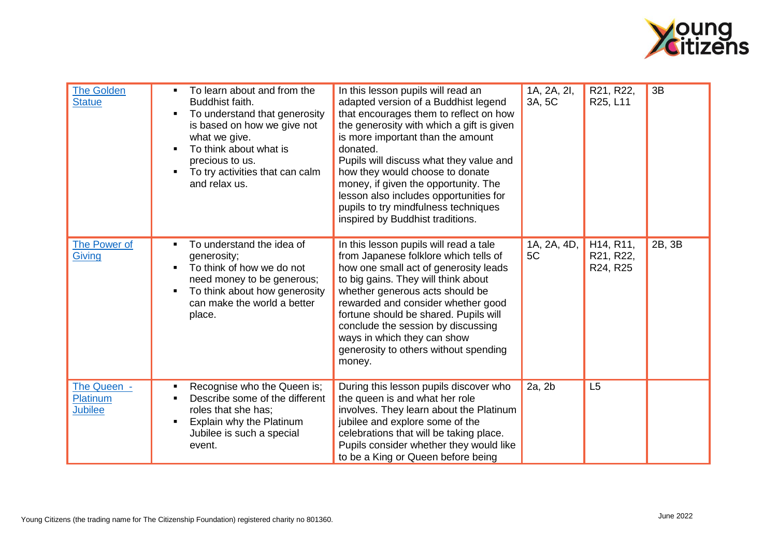

| <b>The Golden</b><br><b>Statue</b> | To learn about and from the<br>$\blacksquare$<br>Buddhist faith.<br>To understand that generosity<br>$\blacksquare$<br>is based on how we give not<br>what we give.<br>To think about what is<br>$\blacksquare$<br>precious to us.<br>To try activities that can calm<br>$\blacksquare$<br>and relax us. | In this lesson pupils will read an<br>adapted version of a Buddhist legend<br>that encourages them to reflect on how<br>the generosity with which a gift is given<br>is more important than the amount<br>donated.<br>Pupils will discuss what they value and<br>how they would choose to donate<br>money, if given the opportunity. The<br>lesson also includes opportunities for<br>pupils to try mindfulness techniques<br>inspired by Buddhist traditions. | 1A, 2A, 2I,<br>3A, 5C | R21, R22,<br>R25, L11                                        | 3B     |
|------------------------------------|----------------------------------------------------------------------------------------------------------------------------------------------------------------------------------------------------------------------------------------------------------------------------------------------------------|----------------------------------------------------------------------------------------------------------------------------------------------------------------------------------------------------------------------------------------------------------------------------------------------------------------------------------------------------------------------------------------------------------------------------------------------------------------|-----------------------|--------------------------------------------------------------|--------|
| The Power of<br>Giving             | To understand the idea of<br>generosity;<br>To think of how we do not<br>$\blacksquare$<br>need money to be generous;<br>To think about how generosity<br>$\blacksquare$<br>can make the world a better<br>place.                                                                                        | In this lesson pupils will read a tale<br>from Japanese folklore which tells of<br>how one small act of generosity leads<br>to big gains. They will think about<br>whether generous acts should be<br>rewarded and consider whether good<br>fortune should be shared. Pupils will<br>conclude the session by discussing<br>ways in which they can show<br>generosity to others without spending<br>money.                                                      | 1A, 2A, 4D,<br>5C     | H <sub>14</sub> , R <sub>11</sub> ,<br>R21, R22,<br>R24, R25 | 2B, 3B |
| The Queen -<br>Platinum<br>Jubilee | Recognise who the Queen is;<br>П<br>Describe some of the different<br>$\blacksquare$<br>roles that she has;<br>Explain why the Platinum<br>$\blacksquare$<br>Jubilee is such a special<br>event.                                                                                                         | During this lesson pupils discover who<br>the queen is and what her role<br>involves. They learn about the Platinum<br>jubilee and explore some of the<br>celebrations that will be taking place.<br>Pupils consider whether they would like<br>to be a King or Queen before being                                                                                                                                                                             | 2a, 2b                | L5                                                           |        |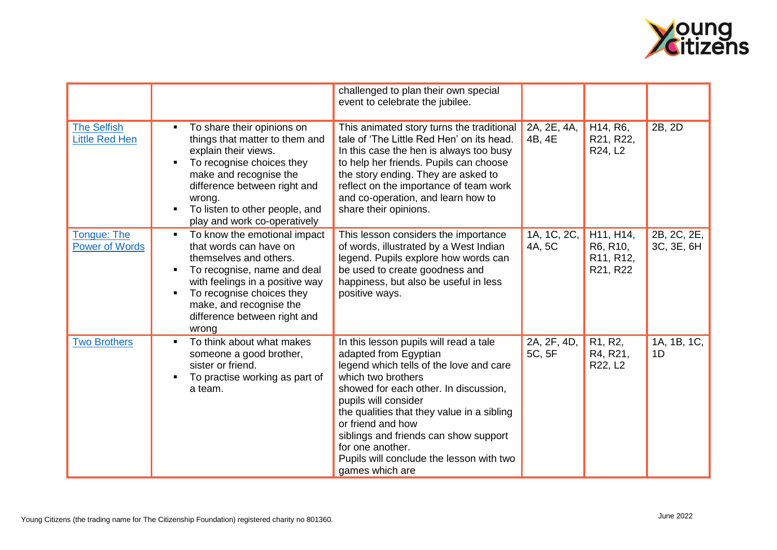

|                                      |                                                                                                                                                                                                                                                                                              | challenged to plan their own special<br>event to celebrate the jubilee.                                                                                                                                                                                                                                                                                                                          |                       |                                                            |                           |
|--------------------------------------|----------------------------------------------------------------------------------------------------------------------------------------------------------------------------------------------------------------------------------------------------------------------------------------------|--------------------------------------------------------------------------------------------------------------------------------------------------------------------------------------------------------------------------------------------------------------------------------------------------------------------------------------------------------------------------------------------------|-----------------------|------------------------------------------------------------|---------------------------|
| <b>The Selfish</b><br>Little Red Hen | To share their opinions on<br>things that matter to them and<br>explain their views.<br>To recognise choices they<br>$\blacksquare$<br>make and recognise the<br>difference between right and<br>wrong.<br>To listen to other people, and<br>п<br>play and work co-operatively               | This animated story turns the traditional<br>tale of 'The Little Red Hen' on its head.<br>In this case the hen is always too busy<br>to help her friends. Pupils can choose<br>the story ending. They are asked to<br>reflect on the importance of team work<br>and co-operation, and learn how to<br>share their opinions.                                                                      | 2A, 2E, 4A,<br>4B, 4E | H <sub>14</sub> , R <sub>6</sub> ,<br>R21, R22,<br>R24, L2 | 2B, 2D                    |
| Tongue: The<br><b>Power of Words</b> | To know the emotional impact<br>٠<br>that words can have on<br>themselves and others.<br>To recognise, name and deal<br>$\blacksquare$<br>with feelings in a positive way<br>To recognise choices they<br>$\blacksquare$<br>make, and recognise the<br>difference between right and<br>wrong | This lesson considers the importance<br>of words, illustrated by a West Indian<br>legend. Pupils explore how words can<br>be used to create goodness and<br>happiness, but also be useful in less<br>positive ways.                                                                                                                                                                              | 1A, 1C, 2C,<br>4A, 5C | H11, H14,<br>R6, R10,<br>R11, R12,<br>R21, R22             | 2B, 2C, 2E,<br>3C, 3E, 6H |
| <b>Two Brothers</b>                  | To think about what makes<br>$\blacksquare$<br>someone a good brother,<br>sister or friend.<br>To practise working as part of<br>$\blacksquare$<br>a team.                                                                                                                                   | In this lesson pupils will read a tale<br>adapted from Egyptian<br>legend which tells of the love and care<br>which two brothers<br>showed for each other. In discussion,<br>pupils will consider<br>the qualities that they value in a sibling<br>or friend and how<br>siblings and friends can show support<br>for one another.<br>Pupils will conclude the lesson with two<br>games which are | 2A, 2F, 4D,<br>5C, 5F | R1, R2,<br>R4, R21,<br>R22, L2                             | 1A, 1B, 1C,<br>1D         |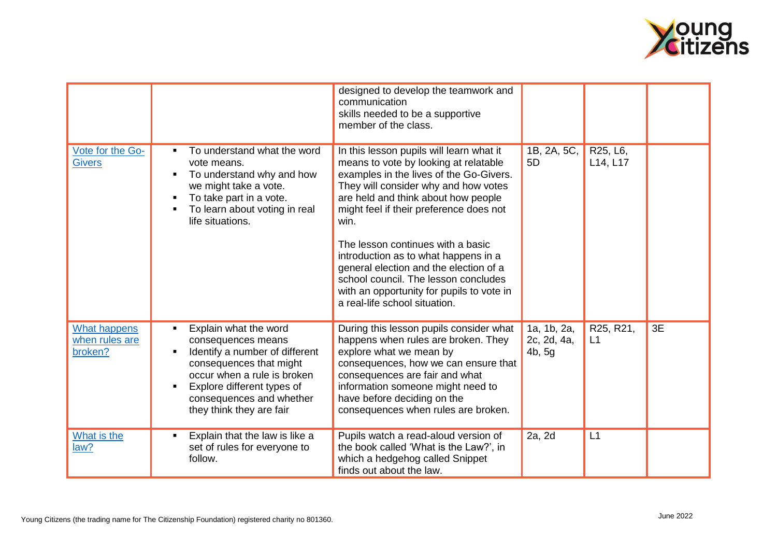

|                                                  |                                                                                                                                                                                                                               | designed to develop the teamwork and<br>communication<br>skills needed to be a supportive<br>member of the class.                                                                                                                                                                                                                                                                                                                                                                                           |                                      |                      |    |
|--------------------------------------------------|-------------------------------------------------------------------------------------------------------------------------------------------------------------------------------------------------------------------------------|-------------------------------------------------------------------------------------------------------------------------------------------------------------------------------------------------------------------------------------------------------------------------------------------------------------------------------------------------------------------------------------------------------------------------------------------------------------------------------------------------------------|--------------------------------------|----------------------|----|
| Vote for the Go-<br><b>Givers</b>                | To understand what the word<br>vote means.<br>To understand why and how<br>we might take a vote.<br>To take part in a vote.<br>To learn about voting in real<br>life situations.                                              | In this lesson pupils will learn what it<br>means to vote by looking at relatable<br>examples in the lives of the Go-Givers.<br>They will consider why and how votes<br>are held and think about how people<br>might feel if their preference does not<br>win.<br>The lesson continues with a basic<br>introduction as to what happens in a<br>general election and the election of a<br>school council. The lesson concludes<br>with an opportunity for pupils to vote in<br>a real-life school situation. | 1B, 2A, 5C,<br>5D                    | R25, L6,<br>L14, L17 |    |
| <b>What happens</b><br>when rules are<br>broken? | Explain what the word<br>consequences means<br>Identify a number of different<br>consequences that might<br>occur when a rule is broken<br>Explore different types of<br>consequences and whether<br>they think they are fair | During this lesson pupils consider what<br>happens when rules are broken. They<br>explore what we mean by<br>consequences, how we can ensure that<br>consequences are fair and what<br>information someone might need to<br>have before deciding on the<br>consequences when rules are broken.                                                                                                                                                                                                              | 1a, 1b, 2a,<br>2c, 2d, 4a,<br>4b, 5g | R25, R21,<br>L1      | 3E |
| What is the<br>law?                              | Explain that the law is like a<br>set of rules for everyone to<br>follow.                                                                                                                                                     | Pupils watch a read-aloud version of<br>the book called 'What is the Law?', in<br>which a hedgehog called Snippet<br>finds out about the law.                                                                                                                                                                                                                                                                                                                                                               | 2a, 2d                               | L1                   |    |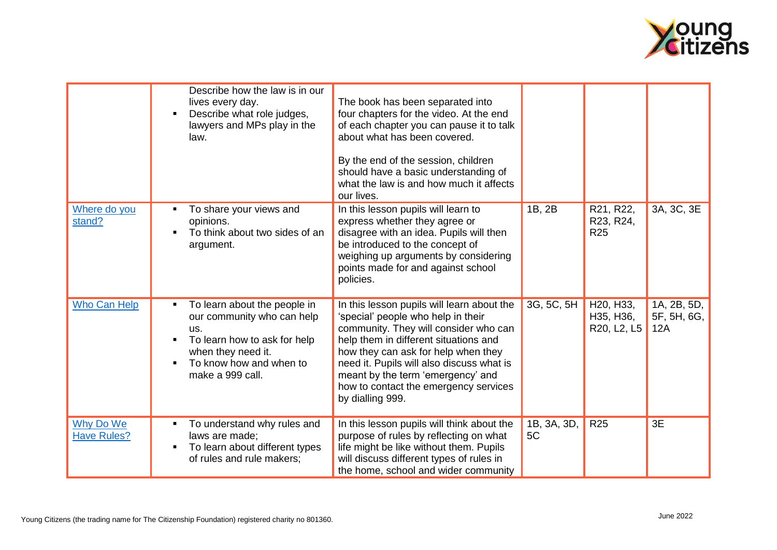

|                                 | Describe how the law is in our<br>lives every day.<br>Describe what role judges,<br>٠<br>lawyers and MPs play in the<br>law.                                                                  | The book has been separated into<br>four chapters for the video. At the end<br>of each chapter you can pause it to talk<br>about what has been covered.<br>By the end of the session, children<br>should have a basic understanding of<br>what the law is and how much it affects<br>our lives.                                                          |                   |                                                                 |                                   |
|---------------------------------|-----------------------------------------------------------------------------------------------------------------------------------------------------------------------------------------------|----------------------------------------------------------------------------------------------------------------------------------------------------------------------------------------------------------------------------------------------------------------------------------------------------------------------------------------------------------|-------------------|-----------------------------------------------------------------|-----------------------------------|
| Where do you<br>stand?          | To share your views and<br>opinions.<br>To think about two sides of an<br>$\blacksquare$<br>argument.                                                                                         | In this lesson pupils will learn to<br>express whether they agree or<br>disagree with an idea. Pupils will then<br>be introduced to the concept of<br>weighing up arguments by considering<br>points made for and against school<br>policies.                                                                                                            | 1B, 2B            | R21, R22,<br>R23, R24,<br><b>R25</b>                            | 3A, 3C, 3E                        |
| <b>Who Can Help</b>             | To learn about the people in<br>our community who can help<br>us.<br>To learn how to ask for help<br>п<br>when they need it.<br>To know how and when to<br>$\blacksquare$<br>make a 999 call. | In this lesson pupils will learn about the<br>'special' people who help in their<br>community. They will consider who can<br>help them in different situations and<br>how they can ask for help when they<br>need it. Pupils will also discuss what is<br>meant by the term 'emergency' and<br>how to contact the emergency services<br>by dialling 999. | 3G, 5C, 5H        | H <sub>20</sub> , H <sub>33</sub> ,<br>H35, H36,<br>R20, L2, L5 | 1A, 2B, 5D,<br>5F, 5H, 6G,<br>12A |
| Why Do We<br><b>Have Rules?</b> | To understand why rules and<br>٠<br>laws are made;<br>To learn about different types<br>$\blacksquare$<br>of rules and rule makers;                                                           | In this lesson pupils will think about the<br>purpose of rules by reflecting on what<br>life might be like without them. Pupils<br>will discuss different types of rules in<br>the home, school and wider community                                                                                                                                      | 1B, 3A, 3D,<br>5C | R <sub>25</sub>                                                 | 3E                                |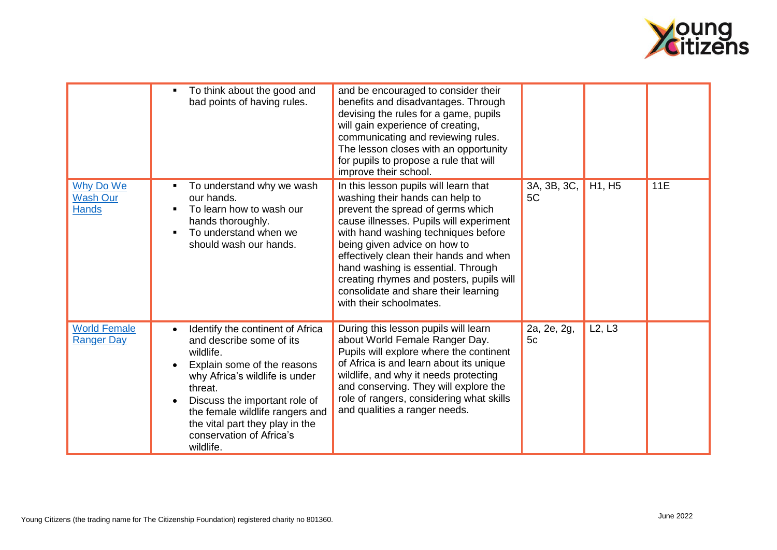

|                                              | To think about the good and<br>bad points of having rules.                                                                                                                                                                                                                                                         | and be encouraged to consider their<br>benefits and disadvantages. Through<br>devising the rules for a game, pupils<br>will gain experience of creating,<br>communicating and reviewing rules.<br>The lesson closes with an opportunity<br>for pupils to propose a rule that will<br>improve their school.                                                                                                                     |                   |                    |     |
|----------------------------------------------|--------------------------------------------------------------------------------------------------------------------------------------------------------------------------------------------------------------------------------------------------------------------------------------------------------------------|--------------------------------------------------------------------------------------------------------------------------------------------------------------------------------------------------------------------------------------------------------------------------------------------------------------------------------------------------------------------------------------------------------------------------------|-------------------|--------------------|-----|
| Why Do We<br><b>Wash Our</b><br><b>Hands</b> | To understand why we wash<br>our hands.<br>To learn how to wash our<br>hands thoroughly.<br>To understand when we<br>should wash our hands.                                                                                                                                                                        | In this lesson pupils will learn that<br>washing their hands can help to<br>prevent the spread of germs which<br>cause illnesses. Pupils will experiment<br>with hand washing techniques before<br>being given advice on how to<br>effectively clean their hands and when<br>hand washing is essential. Through<br>creating rhymes and posters, pupils will<br>consolidate and share their learning<br>with their schoolmates. | 3A, 3B, 3C,<br>5C | H1, H <sub>5</sub> | 11E |
| <b>World Female</b><br><b>Ranger Day</b>     | Identify the continent of Africa<br>$\bullet$<br>and describe some of its<br>wildlife.<br>Explain some of the reasons<br>why Africa's wildlife is under<br>threat.<br>Discuss the important role of<br>the female wildlife rangers and<br>the vital part they play in the<br>conservation of Africa's<br>wildlife. | During this lesson pupils will learn<br>about World Female Ranger Day.<br>Pupils will explore where the continent<br>of Africa is and learn about its unique<br>wildlife, and why it needs protecting<br>and conserving. They will explore the<br>role of rangers, considering what skills<br>and qualities a ranger needs.                                                                                                    | 2a, 2e, 2g,<br>5c | L2, L3             |     |